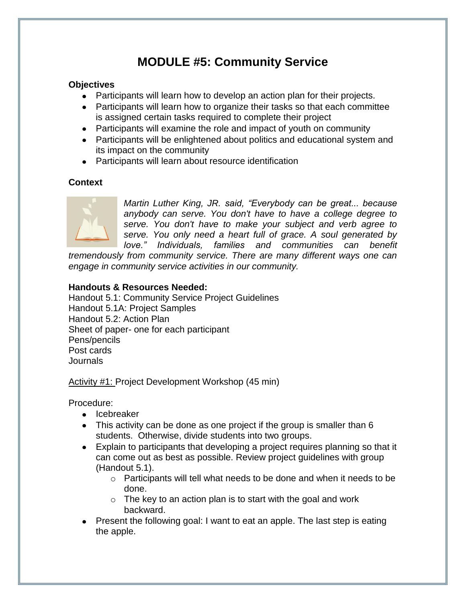# **MODULE #5: Community Service**

### **Objectives**

- Participants will learn how to develop an action plan for their projects.
- Participants will learn how to organize their tasks so that each committee is assigned certain tasks required to complete their project
- Participants will examine the role and impact of youth on community
- Participants will be enlightened about politics and educational system and its impact on the community
- Participants will learn about resource identification

### **Context**



*Martin Luther King, JR. said, "Everybody can be great... because anybody can serve. You don't have to have a college degree to serve. You don't have to make your subject and verb agree to serve. You only need a heart full of grace. A soul generated by love." Individuals, families and communities can benefit* 

*tremendously from community service. There are many different ways one can engage in community service activities in our community.* 

### **Handouts & Resources Needed:**

Handout 5.1: Community Service Project Guidelines Handout 5.1A: Project Samples Handout 5.2: Action Plan Sheet of paper- one for each participant Pens/pencils Post cards **Journals** 

Activity #1: Project Development Workshop (45 min)

Procedure:

- Icebreaker
- This activity can be done as one project if the group is smaller than 6 students. Otherwise, divide students into two groups.
- Explain to participants that developing a project requires planning so that it can come out as best as possible. Review project guidelines with group (Handout 5.1).
	- $\circ$  Participants will tell what needs to be done and when it needs to be done.
	- $\circ$  The key to an action plan is to start with the goal and work backward.
- Present the following goal: I want to eat an apple. The last step is eating the apple.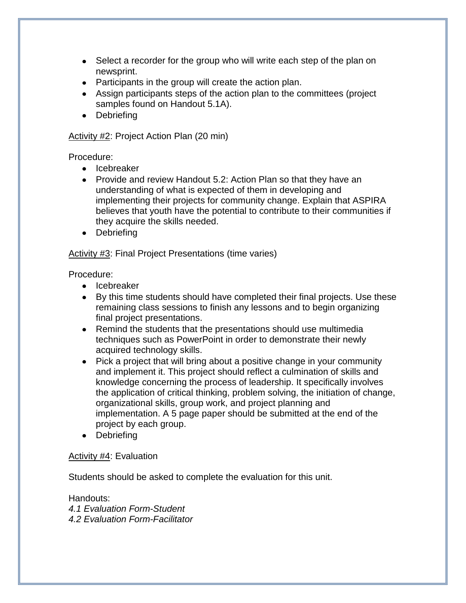- Select a recorder for the group who will write each step of the plan on newsprint.
- Participants in the group will create the action plan.
- Assign participants steps of the action plan to the committees (project samples found on Handout 5.1A).
- Debriefing

Activity #2: Project Action Plan (20 min)

Procedure:

- Icebreaker
- Provide and review Handout 5.2: Action Plan so that they have an understanding of what is expected of them in developing and implementing their projects for community change. Explain that ASPIRA believes that youth have the potential to contribute to their communities if they acquire the skills needed.
- Debriefing

Activity #3: Final Project Presentations (time varies)

Procedure:

- Icebreaker
- By this time students should have completed their final projects. Use these remaining class sessions to finish any lessons and to begin organizing final project presentations.
- Remind the students that the presentations should use multimedia techniques such as PowerPoint in order to demonstrate their newly acquired technology skills.
- Pick a project that will bring about a positive change in your community and implement it. This project should reflect a culmination of skills and knowledge concerning the process of leadership. It specifically involves the application of critical thinking, problem solving, the initiation of change, organizational skills, group work, and project planning and implementation. A 5 page paper should be submitted at the end of the project by each group.
- Debriefing

### Activity #4: Evaluation

Students should be asked to complete the evaluation for this unit.

Handouts: *4.1 Evaluation Form-Student 4.2 Evaluation Form-Facilitator*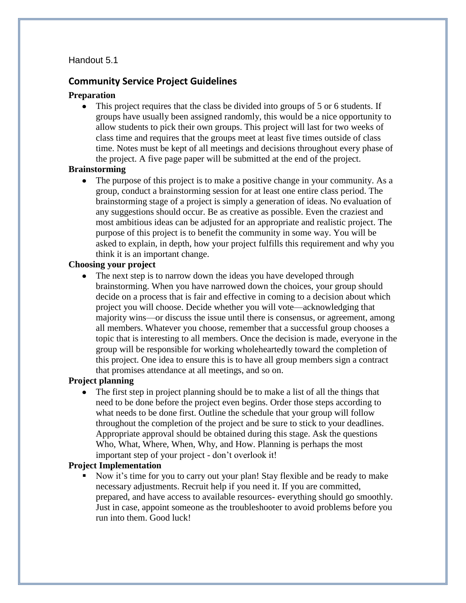### Handout 5.1

### **Community Service Project Guidelines**

### **Preparation**

• This project requires that the class be divided into groups of 5 or 6 students. If groups have usually been assigned randomly, this would be a nice opportunity to allow students to pick their own groups. This project will last for two weeks of class time and requires that the groups meet at least five times outside of class time. Notes must be kept of all meetings and decisions throughout every phase of the project. A five page paper will be submitted at the end of the project.

#### **Brainstorming**

• The purpose of this project is to make a positive change in your community. As a group, conduct a brainstorming session for at least one entire class period. The brainstorming stage of a project is simply a generation of ideas. No evaluation of any suggestions should occur. Be as creative as possible. Even the craziest and most ambitious ideas can be adjusted for an appropriate and realistic project. The purpose of this project is to benefit the community in some way. You will be asked to explain, in depth, how your project fulfills this requirement and why you think it is an important change.

### **Choosing your project**

The next step is to narrow down the ideas you have developed through  $\bullet$ brainstorming. When you have narrowed down the choices, your group should decide on a process that is fair and effective in coming to a decision about which project you will choose. Decide whether you will vote—acknowledging that majority wins—or discuss the issue until there is consensus, or agreement, among all members. Whatever you choose, remember that a successful group chooses a topic that is interesting to all members. Once the decision is made, everyone in the group will be responsible for working wholeheartedly toward the completion of this project. One idea to ensure this is to have all group members sign a contract that promises attendance at all meetings, and so on.

### **Project planning**

The first step in project planning should be to make a list of all the things that need to be done before the project even begins. Order those steps according to what needs to be done first. Outline the schedule that your group will follow throughout the completion of the project and be sure to stick to your deadlines. Appropriate approval should be obtained during this stage. Ask the questions Who, What, Where, When, Why, and How. Planning is perhaps the most important step of your project - don't overlook it!

#### **Project Implementation**

 Now it's time for you to carry out your plan! Stay flexible and be ready to make necessary adjustments. Recruit help if you need it. If you are committed, prepared, and have access to available resources- everything should go smoothly. Just in case, appoint someone as the troubleshooter to avoid problems before you run into them. Good luck!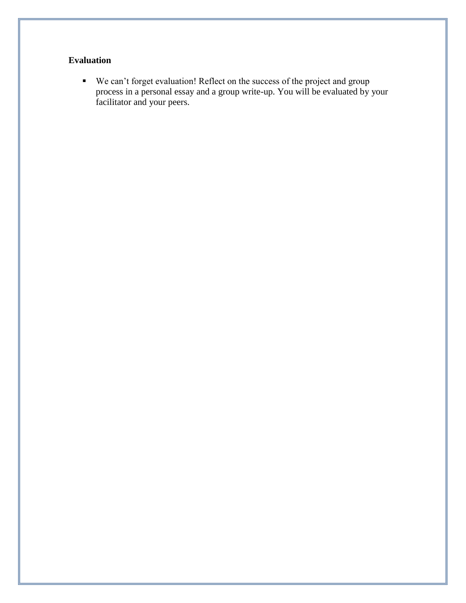## **Evaluation**

■ We can't forget evaluation! Reflect on the success of the project and group process in a personal essay and a group write-up. You will be evaluated by your facilitator and your peers.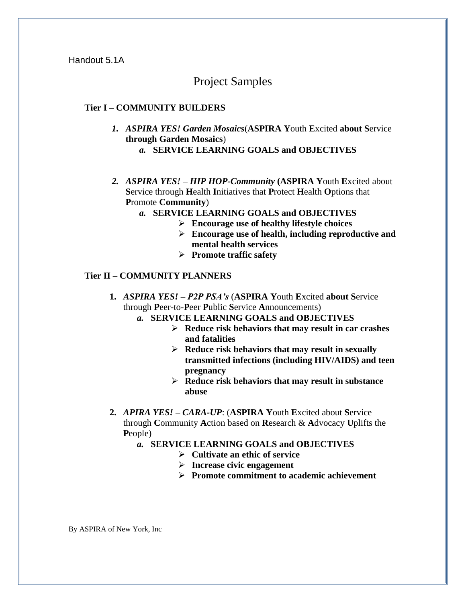Handout 5.1A

## Project Samples

### **Tier I – COMMUNITY BUILDERS**

- *1. ASPIRA YES! Garden Mosaics*(**ASPIRA Y**outh **E**xcited **about S**ervice **through Garden Mosaics**) *a.* **SERVICE LEARNING GOALS and OBJECTIVES**
- *2. ASPIRA YES! – HIP HOP-Community* **(ASPIRA Y**outh **E**xcited about **S**ervice through **H**ealth **I**nitiatives that **P**rotect **H**ealth **O**ptions that **P**romote **Community**)
	- *a.* **SERVICE LEARNING GOALS and OBJECTIVES**
		- **Encourage use of healthy lifestyle choices**
		- **Encourage use of health, including reproductive and mental health services**
		- **Promote traffic safety**

### **Tier II – COMMUNITY PLANNERS**

- **1.** *ASPIRA YES! – P2P PSA's* (**ASPIRA Y**outh **E**xcited **about S**ervice through **P**eer-to-**P**eer **P**ublic **S**ervice **A**nnouncements)
	- *a.* **SERVICE LEARNING GOALS and OBJECTIVES**
		- **Reduce risk behaviors that may result in car crashes and fatalities**
		- **Reduce risk behaviors that may result in sexually transmitted infections (including HIV/AIDS) and teen pregnancy**
		- **Reduce risk behaviors that may result in substance abuse**
- **2.** *APIRA YES! – CARA-UP*: (**ASPIRA Y**outh **E**xcited about **S**ervice through **C**ommunity **A**ction based on **R**esearch & **A**dvocacy **U**plifts the **P**eople)
	- *a.* **SERVICE LEARNING GOALS and OBJECTIVES**
		- **Cultivate an ethic of service**
		- **Increase civic engagement**
		- **Promote commitment to academic achievement**

By ASPIRA of New York, Inc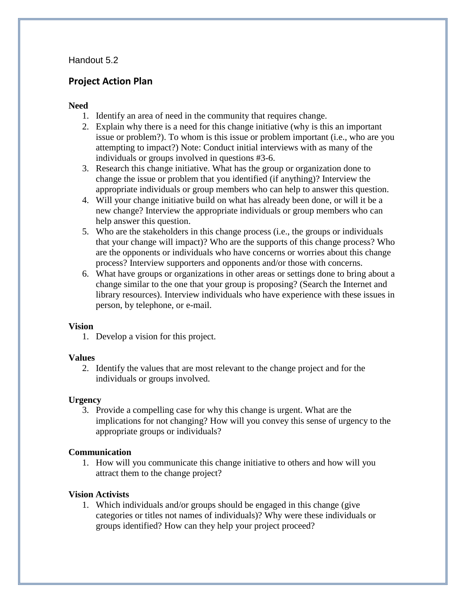### Handout 5.2

### **Project Action Plan**

### **Need**

- 1. Identify an area of need in the community that requires change.
- 2. Explain why there is a need for this change initiative (why is this an important issue or problem?). To whom is this issue or problem important (i.e., who are you attempting to impact?) Note: Conduct initial interviews with as many of the individuals or groups involved in questions #3-6.
- 3. Research this change initiative. What has the group or organization done to change the issue or problem that you identified (if anything)? Interview the appropriate individuals or group members who can help to answer this question.
- 4. Will your change initiative build on what has already been done, or will it be a new change? Interview the appropriate individuals or group members who can help answer this question.
- 5. Who are the stakeholders in this change process (i.e., the groups or individuals that your change will impact)? Who are the supports of this change process? Who are the opponents or individuals who have concerns or worries about this change process? Interview supporters and opponents and/or those with concerns.
- 6. What have groups or organizations in other areas or settings done to bring about a change similar to the one that your group is proposing? (Search the Internet and library resources). Interview individuals who have experience with these issues in person, by telephone, or e-mail.

### **Vision**

1. Develop a vision for this project.

### **Values**

2. Identify the values that are most relevant to the change project and for the individuals or groups involved.

### **Urgency**

3. Provide a compelling case for why this change is urgent. What are the implications for not changing? How will you convey this sense of urgency to the appropriate groups or individuals?

### **Communication**

1. How will you communicate this change initiative to others and how will you attract them to the change project?

### **Vision Activists**

1. Which individuals and/or groups should be engaged in this change (give categories or titles not names of individuals)? Why were these individuals or groups identified? How can they help your project proceed?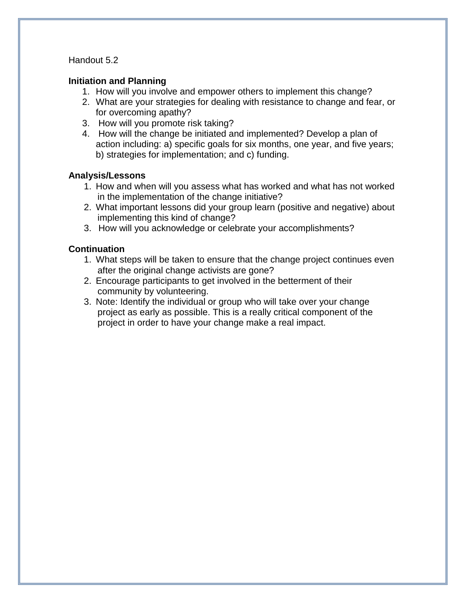### Handout 5.2

### **Initiation and Planning**

- 1. How will you involve and empower others to implement this change?
- 2. What are your strategies for dealing with resistance to change and fear, or for overcoming apathy?
- 3. How will you promote risk taking?
- 4. How will the change be initiated and implemented? Develop a plan of action including: a) specific goals for six months, one year, and five years; b) strategies for implementation; and c) funding.

### **Analysis/Lessons**

- 1. How and when will you assess what has worked and what has not worked in the implementation of the change initiative?
- 2. What important lessons did your group learn (positive and negative) about implementing this kind of change?
- 3. How will you acknowledge or celebrate your accomplishments?

### **Continuation**

- 1. What steps will be taken to ensure that the change project continues even after the original change activists are gone?
- 2. Encourage participants to get involved in the betterment of their community by volunteering.
- 3. Note: Identify the individual or group who will take over your change project as early as possible. This is a really critical component of the project in order to have your change make a real impact.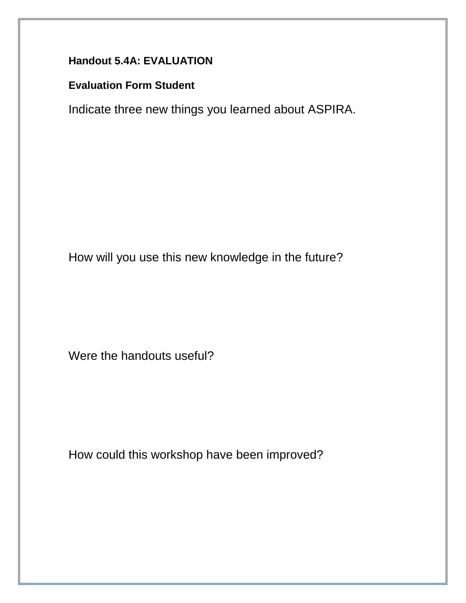## **Handout 5.4A: EVALUATION**

## **Evaluation Form Student**

Indicate three new things you learned about ASPIRA.

How will you use this new knowledge in the future?

Were the handouts useful?

How could this workshop have been improved?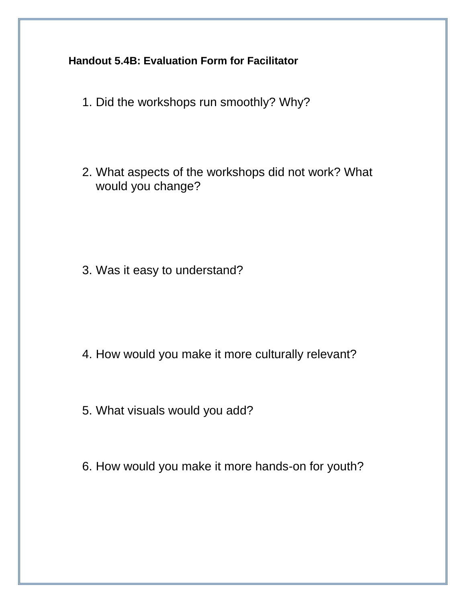**Handout 5.4B: Evaluation Form for Facilitator**

- 1. Did the workshops run smoothly? Why?
- 2. What aspects of the workshops did not work? What would you change?

3. Was it easy to understand?

- 4. How would you make it more culturally relevant?
- 5. What visuals would you add?
- 6. How would you make it more hands-on for youth?